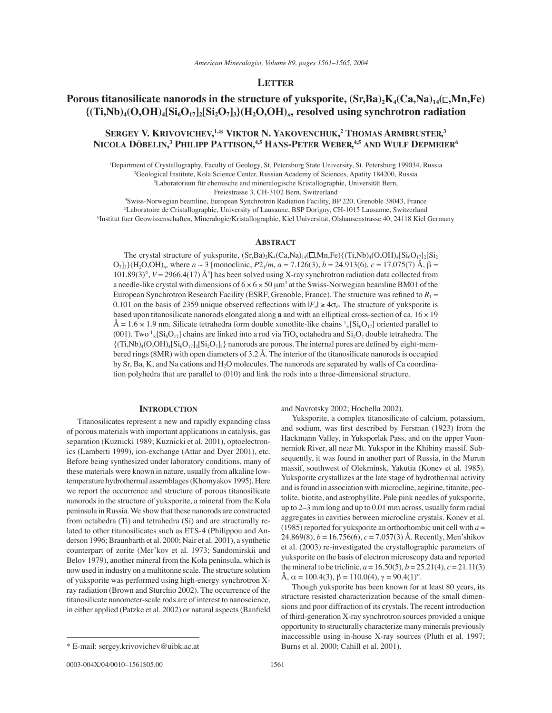## **LETTER**

# **Porous titanosilicate nanorods in the structure of yuksporite,**  $(Sr, Ba)_{2}K_{4}(Ca,Na)_{14}(\Box, Mn,Fe)$  ${(Ti, Nb)_4(O, OH)_4[Si_6O_{17}]_2[Si_2O_7]_3}(H_2O, OH)_n$ , resolved using synchrotron radiation

# **SERGEY V. KRIVOVICHEV, 1,\* VIKTOR N. YAKOVENCHUK, 2 THOMAS ARMBRUSTER, 3**  <code>NICOLA DÖBELIN, $^3$  Philipp Pattison, $^{4,5}$  Hans-Peter Weber, $^{4,5}$  and Wulf Depmeier $^6$ </code>

1 Department of Crystallography, Faculty of Geology, St. Petersburg State University, St. Petersburg 199034, Russia 2 Geological Institute, Kola Science Center, Russian Academy of Sciences, Apatity 184200, Russia <sup>3</sup>Laboratorium für chemische and mineralogische Kristallographie, Universität Bern,

Freiestrasse 3, CH-3102 Bern, Switzerland

4 Swiss-Norwegian beamline, European Synchrotron Radiation Facility, BP 220, Grenoble 38043, France 5 Laboratoire de Cristallographie, University of Lausanne, BSP Dorigny, CH-1015 Lausanne, Switzerland 6 Institut fuer Geowissenschaften, Mineralogie/Kristallographie, Kiel Universit‰t, Olshausenstrasse 40, 24118 Kiel Germany

## **ABSTRACT**

The crystal structure of yuksporite,  $(Sr, Ba)_{2}K_{4}(Ca,Na)_{14}(\Box,Mn,Fe)_{4}(Ti,Nb)_{4}(O,OH)_{4}[Si_{6}O_{17}]_{2}[Si_{2}$  $O_7$ <sub>13</sub>}(H<sub>2</sub>O,OH)<sub>*n*</sub>, where *n* ∼ 3 [monoclinic, *P*2<sub>1</sub>/*m*, *a* = 7.126(3), *b* = 24.913(6), *c* = 17.075(7) Å, β = 101.89(3)°, *V* = 2966.4(17) Å3 ] has been solved using X-ray synchrotron radiation data collected from a needle-like crystal with dimensions of  $6 \times 6 \times 50 \mu m^3$  at the Swiss-Norwegian beamline BM01 of the European Synchrotron Research Facility (ESRF, Grenoble, France). The structure was refined to  $R_1$  = 0.101 on the basis of 2359 unique observed reflections with  $|F_{o}| \ge 4\sigma_{F}$ . The structure of yuksporite is based upon titanosilicate nanorods elongated along **a** and with an elliptical cross-section of ca. 16 × 19  $\AA = 1.6 \times 1.9$  nm. Silicate tetrahedra form double xonotlite-like chains  $\frac{1}{\infty} [Si_6O_{17}]$  oriented parallel to (001). Two  $\frac{1}{2}$ [Si<sub>6</sub>O<sub>17</sub>] chains are linked into a rod via TiO<sub>6</sub> octahedra and Si<sub>2</sub>O<sub>7</sub> double tetrahedra. The  ${(Ti, Nb)_4(O, OH)_4[Si_6O_{17}]_2[Si_2O_7]_3}$  nanorods are porous. The internal pores are defined by eight-membered rings (8MR) with open diameters of 3.2 Å. The interior of the titanosilicate nanorods is occupied by Sr, Ba, K, and Na cations and H2O molecules. The nanorods are separated by walls of Ca coordination polyhedra that are parallel to (010) and link the rods into a three-dimensional structure.

### **INTRODUCTION**

Titanosilicates represent a new and rapidly expanding class of porous materials with important applications in catalysis, gas separation (Kuznicki 1989; Kuznicki et al. 2001), optoelectronics (Lamberti 1999), ion-exchange (Attar and Dyer 2001), etc. Before being synthesized under laboratory conditions, many of these materials were known in nature, usually from alkaline lowtemperature hydrothermal assemblages (Khomyakov 1995). Here we report the occurrence and structure of porous titanosilicate nanorods in the structure of yuksporite, a mineral from the Kola peninsula in Russia. We show that these nanorods are constructed from octahedra (Ti) and tetrahedra (Si) and are structurally related to other titanosilicates such as ETS-4 (Philippou and Anderson 1996; Braunbarth et al. 2000; Nair et al. 2001), a synthetic counterpart of zorite (Mer'kov et al. 1973; Sandomirskii and Belov 1979), another mineral from the Kola peninsula, which is now used in industry on a multitonne scale. The structure solution of yuksporite was performed using high-energy synchrotron Xray radiation (Brown and Sturchio 2002). The occurrence of the titanosilicate nanometer-scale rods are of interest to nanoscience, in either applied (Patzke et al. 2002) or natural aspects (Banfield

and Navrotsky 2002; Hochella 2002).

Yuksporite, a complex titanosilicate of calcium, potassium, and sodium, was first described by Fersman (1923) from the Hackmann Valley, in Yuksporlak Pass, and on the upper Vuonnemiok River, all near Mt. Yukspor in the Khibiny massif. Subsequently, it was found in another part of Russia, in the Murun massif, southwest of Olekminsk, Yakutia (Konev et al. 1985). Yuksporite crystallizes at the late stage of hydrothermal activity and is found in association with microcline, aegirine, titanite, pectolite, biotite, and astrophyllite. Pale pink needles of yuksporite, up to  $2-3$  mm long and up to 0.01 mm across, usually form radial aggregates in cavities between microcline crystals. Konev et al. (1985) reported for yuksporite an orthorhombic unit cell with  $a =$ 24.869(8), *b* = 16.756(6), *c* = 7.057(3) Å. Recently, Men'shikov et al. (2003) re-investigated the crystallographic parameters of yuksporite on the basis of electron microscopy data and reported the mineral to be triclinic,  $a = 16.50(5)$ ,  $b = 25.21(4)$ ,  $c = 21.11(3)$ Å,  $\alpha = 100.4(3)$ ,  $\beta = 110.0(4)$ ,  $\gamma = 90.4(1)$ °.

Though yuksporite has been known for at least 80 years, its structure resisted characterization because of the small dimensions and poor diffraction of its crystals. The recent introduction of third-generation X-ray synchrotron sources provided a unique opportunity to structurally characterize many minerals previously inaccessible using in-house X-ray sources (Pluth et al. 1997; Burns et al. 2000; Cahill et al. 2001).

<sup>\*</sup> E-mail: sergey.krivovichev@uibk.ac.at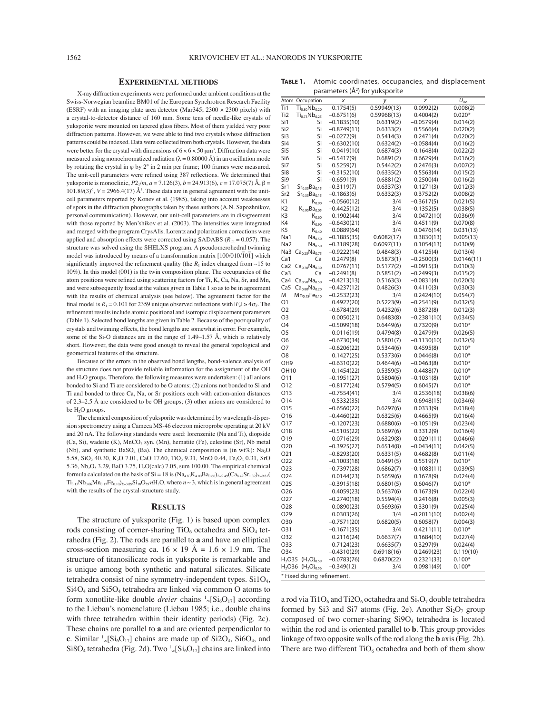#### **EXPERIMENTAL METHODS**

X-ray diffraction experiments were performed under ambient conditions at the Swiss-Norwegian beamline BM01 of the European Synchrotron Research Facility (ESRF) with an imaging plate area detector (Mar $345$ ;  $2300 \times 2300$  pixels) with a crystal-to-detector distance of 160 mm. Some tens of needle-like crystals of yuksporite were mounted on tapered glass fibers. Most of them yielded very poor diffraction patterns. However, we were able to find two crystals whose diffraction patterns could be indexed. Data were collected from both crystals. However, the data were better for the crystal with dimensions of  $6 \times 6 \times 50 \,\mu m^3$ . Diffraction data were measured using monochromatized radiation ( $\lambda = 0.80000 \text{ Å}$ ) in an oscillation mode by rotating the crystal in  $\varphi$  by  $2^{\circ}$  in 2 min per frame; 100 frames were measured. The unit-cell parameters were refined using 387 reflections. We determined that yuksporite is monoclinic,  $P2_1/m$ ,  $a = 7.126(3)$ ,  $b = 24.913(6)$ ,  $c = 17.075(7)$  Å,  $β =$  $101.89(3)$ °,  $V = 2966.4(17)$  Å<sup>3</sup>. These data are in general agreement with the unitcell parameters reported by Konev et al. (1985), taking into account weaknesses of spots in the diffraction photographs taken by these authors (A.N. Sapozhnikov, personal communication). However, our unit-cell parameters are in disagreement with those reported by Men'shikov et al. (2003). The intensities were integrated and merged with the program CrysAlis. Lorentz and polarization corrections were applied and absorption effects were corrected using SADABS (*R*int = 0.057). The structure was solved using the SHELXS program. A pseudomerohedral twinning model was solved using the STEEXS program. To pseudomerolically which model was introduced by means of a transformation matrix  $[100/010/101]$  which significantly improved the refinement quality (the  $R_1$  index changed from ~15 to 10%). In this model (001) is the twin composition plane. The occupancies of the atom positions were refined using scattering factors for Ti, K, Ca, Na, Sr, and Mn, and were subsequently fixed at the values given in Table 1 so as to be in agreement with the results of chemical analysis (see below). The agreement factor for the final model is  $R_1 = 0.101$  for 2359 unique observed reflections with  $|F_0| \ge 4\sigma_F$ . The refinement results include atomic positional and isotropic displacement parameters (Table 1). Selected bond lengths are given in Table 2. Because of the poor quality of crystals and twinning effects, the bond lengths are somewhat in error. For example, some of the Si-O distances are in the range of  $1.49-1.57$  Å, which is relatively short. However, the data were good enough to reveal the general topological and geometrical features of the structure.

Because of the errors in the observed bond lengths, bond-valence analysis of the structure does not provide reliable information for the assignment of the OH and H2O groups. Therefore, the following measures were undertaken: (1) all anions bonded to Si and Ti are considered to be O atoms; (2) anions not bonded to Si and Ti and bonded to three Ca, Na, or Sr positions each with cation-anion distances of 2.3–2.5 Å are considered to be OH groups; (3) other anions are considered to be H<sub>2</sub>O groups.

The chemical composition of yuksporite was determined by wavelength-dispersion spectrometry using a Cameca MS-46 electron microprobe operating at 20 kV and 20 nA. The following standards were used: lorenzenite (Na and Ti), diopside (Ca, Si), wadeite (K), MnCO<sub>3</sub> syn. (Mn), hematite (Fe), celestine (Sr), Nb metal (Nb), and synthetic BaSO<sub>4</sub> (Ba). The chemical composition is (in wt%): Na<sub>2</sub>O 5.58, SiO<sub>2</sub> 40.30, K<sub>2</sub>O 7.01, CaO 17.60, TiO<sub>2</sub> 9.31, MnO 0.44, Fe<sub>2</sub>O<sub>3</sub> 0.31, SrO 5.36,  $Nb_2O_5$  3.29,  $BaO$  3.75,  $H_2O(calc)$  7.05, sum 100.00. The empirical chemical formula calculated on the basis of Si = 18 is  $(Na_{4.83}K_{4.00}Ba_{0.66})_{z=9.49}(Ca_{8.42}Sr_{1.39})_{z=9.81}$  $Ti_{3.13}Nb_{0.66}Mn_{0.17}Fe_{0.10}S_{2=3.89}Si_{18}O_{59}nH_2O$ , where  $n \sim 3$ , which is in general agreement with the results of the crystal-structure study.

#### **RESULTS**

The structure of yuksporite (Fig. 1) is based upon complex rods consisting of corner-sharing  $TiO<sub>6</sub>$  octahedra and  $SiO<sub>4</sub>$  tetrahedra (Fig. 2). The rods are parallel to **a** and have an elliptical cross-section measuring ca.  $16 \times 19$  Å =  $1.6 \times 1.9$  nm. The structure of titanosilicate rods in yuksporite is remarkable and is unique among both synthetic and natural silicates. Silicate tetrahedra consist of nine symmetry-independent types.  $Si1O<sub>4</sub>$ ,  $Si4O<sub>4</sub>$  and  $Si5O<sub>4</sub>$  tetrahedra are linked via common O atoms to form xonotlite-like double *dreier* chains <sup>1</sup>∞[Si<sub>6</sub>O<sub>17</sub>] according to the Liebau's nomenclature (Liebau 1985; i.e., double chains with three tetrahedra within their identity periods) (Fig. 2c). These chains are parallel to **a** and are oriented perpendicular to **c**. Similar  $\frac{1}{\infty}$ [Si<sub>6</sub>O<sub>17</sub>] chains are made up of Si2O<sub>4</sub>, Si6O<sub>4</sub>, and  $Si8O_4$  tetrahedra (Fig. 2d). Two  $\frac{1}{\infty} [Si_6O_{17}]$  chains are linked into

| TABLE 1. | Atomic coordinates, occupancies, and displacement |
|----------|---------------------------------------------------|
|          | parameters $(\AA^2)$ for yuksporite               |

|                            |                                    | $p$ urumcters ( $\eta$ ) ion | anaporite   |               |                  |  |  |  |
|----------------------------|------------------------------------|------------------------------|-------------|---------------|------------------|--|--|--|
|                            | Atom Occupation                    | Х                            | у           | Z             | $U_{\text{iso}}$ |  |  |  |
| Ti1                        | $Ti_{0.80}Nb_{0.20}$               | 0.1754(5)                    | 0.59949(13) | 0.0992(2)     | 0.008(2)         |  |  |  |
| Ti2                        | $Ti_{0.75}Nb_{0.25}$               | $-0.6751(6)$                 | 0.59968(13) | 0.4004(2)     | $0.020*$         |  |  |  |
| Si1                        | Si                                 | $-0.1835(10)$                | 0.6319(2)   | –0.0579(4)    | 0.014(2)         |  |  |  |
| Si <sub>2</sub>            | Si                                 | $-0.8749(11)$                | 0.6333(2)   | 0.5566(4)     | 0.020(2)         |  |  |  |
| Si3                        | Si                                 | $-0.0272(9)$                 | 0.5414(3)   | 0.2471(4)     | 0.020(2)         |  |  |  |
| Si4                        | Si                                 | $-0.6302(10)$                | 0.6324(2)   | $-0.0584(4)$  | 0.016(2)         |  |  |  |
| Si5                        | Si                                 | 0.0419(10)                   | 0.6874(3)   | $-0.1648(4)$  | 0.022(2)         |  |  |  |
| Si6                        | Si                                 | $-0.5417(9)$                 | 0.6891(2)   | 0.6629(4)     | 0.016(2)         |  |  |  |
| Si7                        | Si                                 | 0.5259(7)                    | 0.5442(2)   | 0.2476(3)     | 0.007(2)         |  |  |  |
| Si8                        | Si                                 | $-0.3152(10)$                | 0.6335(2)   | 0.5563(4)     | 0.015(2)         |  |  |  |
| Si9                        | Si                                 | $-0.6591(9)$                 | 0.6881(2)   | 0.2500(4)     | 0.016(2)         |  |  |  |
| Sr1                        | $Sr_{0.35}Ba_{0.15}$               | $-0.3119(7)$                 | 0.6337(3)   | 0.1271(3)     | 0.012(3)         |  |  |  |
| Sr <sub>2</sub>            | $Sr_{0.35}Ba_{0.15}$               | $-0.1863(6)$                 | 0.6332(3)   | 0.3752(2)     | 0.008(2)         |  |  |  |
| K1                         | $K_{0.90}$                         | $-0.0560(12)$                | 3/4         | $-0.3617(5)$  | 0.021(5)         |  |  |  |
| K2                         | $K_{0.95}Ba_{0.05}$                | $-0.4425(12)$                | 3/4         | $-0.1352(5)$  | 0.038(5)         |  |  |  |
| K3                         | $\mathsf{K}_{0.60}$                | 0.1902(44)                   | 3/4         | 0.0472(10)    | 0.036(9)         |  |  |  |
| K4                         | $K_{0.90}$                         | $-0.6430(21)$                | 3/4         | 0.4511(9)     | 0.070(8)         |  |  |  |
| K5                         | $K_{0.40}$                         | 0.0889(64)                   | 3/4         | 0.0476(14)    | 0.031(13)        |  |  |  |
| Na1                        | Na <sub>0.50</sub>                 | $-0.1885(35)$                | 0.6082(17)  | 0.3830(13)    | 0.005(13)        |  |  |  |
| Na2                        | Na <sub>0.50</sub>                 | $-0.3189(28)$                | 0.6097(11)  | 0.1054(13)    | 0.030(9)         |  |  |  |
| Na3                        | $Ca_{0.25}Na_{0.75}$               | -0.9222(14)                  | 0.4848(3)   | 0.4125(4)     | 0.013(4)         |  |  |  |
| Ca1                        | Ca                                 | 0.2479(8)                    | 0.5873(1)   | $-0.2500(3)$  | 0.0146(11)       |  |  |  |
| Ca <sub>2</sub>            | $Ca_{0.70}Na_{0.30}$               | 0.0767(11)                   | 0.5177(2)   | $-0.0915(3)$  | 0.010(3)         |  |  |  |
| Ca <sub>3</sub>            | Ca                                 | $-0.2491(8)$                 | 0.5851(2)   | $-0.2499(3)$  | 0.015(2)         |  |  |  |
| Ca4                        | $Ca_{0.50}Na_{0.50}$               | $-0.4213(13)$                | 0.5163(3)   | $-0.0831(4)$  | 0.020(3)         |  |  |  |
| Ca <sub>5</sub>            | $Ca_{0.80}Na_{0.20}$               | $-0.4237(12)$                | 0.4826(3)   | 0.4110(3)     | 0.030(3)         |  |  |  |
| M                          | $Mn_{0.15}Fe_{0.10}$               | $-0.2532(23)$                | 3/4         | 0.2424(10)    | 0.054(7)         |  |  |  |
| O1                         |                                    | 0.4922(20)                   | 0.5223(9)   | –0.2541(9)    | 0.032(5)         |  |  |  |
| O <sub>2</sub>             |                                    | $-0.6784(29)$                | 0.4232(6)   | 0.3872(8)     | 0.012(3)         |  |  |  |
| O3                         |                                    | 0.0050(21)                   | 0.6483(8)   | $-0.2381(10)$ | 0.034(5)         |  |  |  |
| O4                         |                                    | $-0.5099(18)$                | 0.6449(6)   | 0.7320(9)     | $0.010*$         |  |  |  |
| O5                         |                                    | $-0.0116(19)$                | 0.4794(8)   | 0.2479(9)     | 0.026(5)         |  |  |  |
| O6                         |                                    | –0.6730(34)                  | 0.5801(7)   | –0.1130(10)   | 0.032(5)         |  |  |  |
| 07                         |                                    | $-0.6206(22)$                | 0.5344(6)   | 0.4595(8)     | $0.010*$         |  |  |  |
| O8                         |                                    | 0.1427(25)                   | 0.5373(6)   | 0.0446(8)     | $0.010*$         |  |  |  |
| OH <sub>9</sub>            |                                    | $-0.6310(22)$                | 0.4644(6)   | $-0.0463(8)$  | $0.010*$         |  |  |  |
| OH10                       |                                    | $-0.1454(22)$                | 0.5359(5)   | 0.4488(7)     | $0.010*$         |  |  |  |
| 011                        |                                    | –0.1951(27)                  | 0.5804(6)   | $-0.1031(8)$  | $0.010*$         |  |  |  |
| 012                        |                                    | $-0.8177(24)$                | 0.5794(5)   | 0.6045(7)     | $0.010*$         |  |  |  |
| O13                        |                                    | –0.7554(41)                  | 3/4         | 0.2536(18)    | 0.038(6)         |  |  |  |
| O14                        |                                    | $-0.5332(35)$                | 3/4         | 0.6948(15)    | 0.034(6)         |  |  |  |
| 015                        |                                    | $-0.6560(22)$                | 0.6297(6)   | 0.0333(9)     | 0.018(4)         |  |  |  |
| 016                        |                                    | $-0.4460(22)$                | 0.6325(6)   | 0.4665(9)     | 0.016(4)         |  |  |  |
| 017                        |                                    | $-0.1207(23)$                | 0.6880(6)   | $-0.1051(9)$  | 0.023(4)         |  |  |  |
| O18                        |                                    | $-0.5105(22)$                | 0.5697(6)   | 0.3312(9)     | 0.016(4)         |  |  |  |
| 019                        |                                    | $-0.0716(29)$                | 0.6329(8)   | 0.0291(11)    | 0.046(6)         |  |  |  |
| O <sub>20</sub>            |                                    |                              | 0.6514(8)   | $-0.0434(11)$ | 0.042(5)         |  |  |  |
|                            |                                    | $-0.3925(27)$                |             |               |                  |  |  |  |
| 021                        |                                    | -0.8293(20)                  | 0.6331(5)   | 0.4682(8)     | 0.011(4)         |  |  |  |
| 022                        |                                    | $-0.1003(18)$                | 0.6491(5)   | 0.5519(7)     | $0.010*$         |  |  |  |
| 023                        |                                    | –0.7397(28)                  | 0.6862(7)   | $-0.1083(11)$ | 0.039(5)         |  |  |  |
| O24                        |                                    | 0.0144(23)                   | 0.5659(6)   | 0.1678(9)     | 0.024(4)         |  |  |  |
| O <sub>25</sub>            |                                    | $-0.3915(18)$                | 0.6801(5)   | 0.6046(7)     | $0.010*$         |  |  |  |
| 026                        |                                    | 0.4059(23)                   | 0.5637(6)   | 0.1673(9)     | 0.022(4)         |  |  |  |
| 027                        |                                    | $-0.2740(18)$                | 0.5594(4)   | 0.2416(8)     | 0.005(3)         |  |  |  |
| 028                        |                                    | 0.0890(23)                   | 0.5693(6)   | 0.3301(9)     | 0.025(4)         |  |  |  |
| O29                        |                                    | 0.0303(26)                   | 3/4         | $-0.2011(10)$ | 0.002(4)         |  |  |  |
| O30                        |                                    | $-0.7571(20)$                | 0.6820(5)   | 0.6058(7)     | 0.004(3)         |  |  |  |
| 031                        |                                    | $-0.1671(35)$                | 3/4         | 0.4211(11)    | $0.010*$         |  |  |  |
| 032                        |                                    | 0.2116(24)                   | 0.6637(7)   | 0.1684(10)    | 0.027(4)         |  |  |  |
| 033                        |                                    | $-0.7124(23)$                | 0.6635(7)   | 0.3297(9)     | 0.024(4)         |  |  |  |
| 034                        |                                    | $-0.4310(29)$                | 0.6918(16)  | 0.2469(23)    | 0.119(10)        |  |  |  |
|                            | $H_2$ O35 $(H_2O)_{0.59}$          | $-0.0783(76)$                | 0.6870(22)  | 0.2321(33)    | $0.100*$         |  |  |  |
|                            | $H2$ O36 ( $H2$ O) <sub>0.56</sub> | $-0.349(12)$                 | 3/4         | 0.0981(49)    | $0.100*$         |  |  |  |
|                            |                                    |                              |             |               |                  |  |  |  |
| * Fixed during refinement. |                                    |                              |             |               |                  |  |  |  |

a rod via Ti1O<sub>6</sub> and Ti2O<sub>6</sub> octahedra and  $Si<sub>2</sub>O<sub>7</sub>$  double tetrahedra formed by Si3 and Si7 atoms (Fig. 2e). Another  $Si<sub>2</sub>O<sub>7</sub>$  group composed of two corner-sharing Si9O<sub>4</sub> tetrahedra is located within the rod and is oriented parallel to **b**. This group provides linkage of two opposite walls of the rod along the **b** axis (Fig. 2b). There are two different  $TiO<sub>6</sub>$  octahedra and both of them show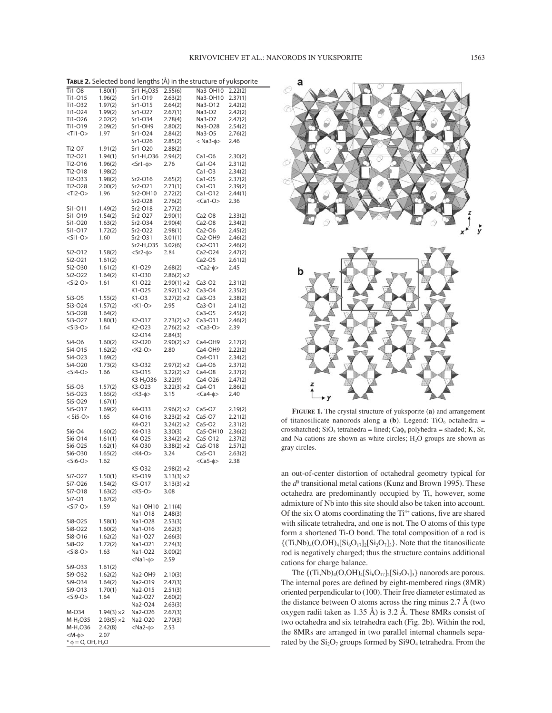|                                      | TABLE 2. Selected bond lengths (Å) in the structure of yuksporite |                        |                                          |                          |                 |  |  |
|--------------------------------------|-------------------------------------------------------------------|------------------------|------------------------------------------|--------------------------|-----------------|--|--|
| Ti1-08                               | 1.80(1)                                                           | Sr1-H <sub>2</sub> O35 | 2.55(6)                                  | Na3-OH10                 | 2.22(2)         |  |  |
| Ti1-015                              | 1.96(2)                                                           | Sr1-019                | 2.63(2)                                  | Na3-OH10                 | 2.37(1)         |  |  |
| Ti1-032                              | 1.97(2)                                                           | Sr1-015                | 2.64(2)                                  | Na3-O12                  | 2.42(2)         |  |  |
| Ti1-024                              | 1.99(2)                                                           | Sr1-O27                | 2.67(1)                                  | Na3-O2                   | 2.42(2)         |  |  |
| Ti1-026                              | 2.02(2)                                                           | Sr1-034                | 2.78(4)                                  | Na3-O7                   | 2.47(2)         |  |  |
| Ti1-019                              | 2.09(2)                                                           | Sr1-OH9                | 2.80(2)                                  | Na3-O28                  | 2.54(2)         |  |  |
| <ti1-o></ti1-o>                      | 1.97                                                              | Sr1-O24                | 2.84(2)                                  | Na3-O5                   | 2.76(2)         |  |  |
|                                      |                                                                   | Sr1-O26                | 2.85(2)                                  | $<$ Na3- $\phi$ >        | 2.46            |  |  |
| Ti2-07                               | 1.91(2)                                                           | Sr1-O20                | 2.88(2)                                  |                          |                 |  |  |
| Ti2-O21                              | 1.94(1)                                                           | Sr1-H <sub>2</sub> O36 | 2.94(2)                                  | $Ca1-06$                 | 2.30(2)         |  |  |
| Ti2-016                              | 1.96(2)                                                           | $<$ Sr1- $\phi$ >      | 2.76                                     | $Ca1-O4$                 | 2.31(2)         |  |  |
| Ti2-018                              | 1.98(2)                                                           |                        |                                          | $Ca1-O3$                 | 2.34(2)         |  |  |
| Ti2-033                              | 1.98(2)                                                           | Sr2-O16                | 2.65(2)                                  | Ca1-O5                   | 2.37(2)         |  |  |
| Ti2-O28<br>$<$ Ti2-O $>$             | 2.00(2)                                                           | Sr2-O21                | 2.71(1)                                  | $Ca1-O1$                 | 2.39(2)         |  |  |
|                                      | 1.96                                                              | Sr2-OH10<br>Sr2-O28    | 2.72(2)<br>2.76(2)                       | Ca1-012<br>$<$ Ca1-O $>$ | 2.44(1)<br>2.36 |  |  |
| Si1-011                              | 1.49(2)                                                           | Sr2-O18                | 2.77(2)                                  |                          |                 |  |  |
| Si1-019                              | 1.54(2)                                                           | Sr2-O27                | 2.90(1)                                  | $Ca2-O8$                 | 2.33(2)         |  |  |
| Si1-O20                              | 1.63(2)                                                           | Sr2-O34                | 2.90(4)                                  | $Ca2-O8$                 | 2.34(2)         |  |  |
| Si1-017                              | 1.72(2)                                                           | Sr2-O22                | 2.98(1)                                  | Ca2-O6                   | 2.45(2)         |  |  |
| $<$ Si1-O>                           | 1.60                                                              | Sr2-O31                | 3.01(1)                                  | Ca2-OH9                  | 2.46(2)         |  |  |
|                                      |                                                                   | $Sr2-H2O35$            | 3.02(6)                                  | Ca2-011                  | 2.46(2)         |  |  |
| Si2-012                              | 1.58(2)                                                           | $<$ Sr2- $\phi$ >      | 2.84                                     | Ca2-O24                  | 2.47(2)         |  |  |
| Si2-O21                              | 1.61(2)                                                           |                        |                                          | $Ca2-O5$                 | 2.61(2)         |  |  |
| Si2-O30                              | 1.61(2)                                                           | K1-O29                 | 2.68(2)                                  | $<$ Ca2- $\phi$ >        | 2.45            |  |  |
| Si2-O22                              | 1.64(2)                                                           | K1-030                 | $2.86(2) \times 2$                       |                          |                 |  |  |
| $<$ Si2-O $>$                        | 1.61                                                              | K1-022                 | $2.90(1) \times 2$                       | $Ca3-O2$                 | 2.31(2)         |  |  |
|                                      |                                                                   | K1-O25                 | $2.92(1) \times 2$                       | $Ca3-O4$                 | 2.35(2)         |  |  |
| Si3-05                               | 1.55(2)                                                           | K1-O3                  | $3.27(2) \times 2$                       | $Ca3-O3$                 | 2.38(2)         |  |  |
| Si3-O24                              | 1.57(2)                                                           | $<$ K1-O>              | 2.95                                     | $Ca3-O1$                 | 2.41(2)         |  |  |
| Si3-O28                              | 1.64(2)                                                           |                        |                                          | $Ca3-O5$                 | 2.45(2)         |  |  |
| Si3-O27                              | 1.80(1)                                                           | K <sub>2</sub> -017    | $2.73(2) \times 2$                       | Ca3-O11                  | 2.46(2)         |  |  |
| $<$ Si3-O $>$                        | 1.64                                                              | K <sub>2</sub> -023    | $2.76(2) \times 2$                       | $<$ Ca3-O $>$            | 2.39            |  |  |
|                                      |                                                                   | K2-014                 | 2.84(3)                                  |                          |                 |  |  |
| Si4-06                               | 1.60(2)                                                           | K2-O20                 | $2.90(2) \times 2$                       | Ca4-OH9                  | 2.17(2)         |  |  |
| Si4-015                              | 1.62(2)                                                           | $<$ K2-O>              | 2.80                                     | Ca4-OH9                  | 2.22(2)         |  |  |
| Si4-O23                              | 1.69(2)                                                           |                        |                                          | Ca4-011                  | 2.34(2)         |  |  |
| Si4-O20                              | 1.73(2)                                                           | K3-O32                 | $2.97(2) \times 2$                       | Ca4-O6                   | 2.37(2)         |  |  |
| $<$ Si4-O $>$                        | 1.66                                                              | K3-015                 | $3.22(2) \times 2$                       | $Ca4-O8$                 | 2.37(2)         |  |  |
|                                      |                                                                   | K3-H <sub>2</sub> O36  | 3.22(9)                                  | Ca4-O26                  | 2.47(2)         |  |  |
| Si5-O3                               | 1.57(2)                                                           | K3-O23                 | $3.22(3) \times 2$                       | Ca4-01                   | 2.86(2)         |  |  |
| Si5-O23                              | 1.65(2)                                                           | <К3-ф>                 | 3.15                                     | <Са4-ф>                  | 2.40            |  |  |
| Si5-O29                              | 1.67(1)                                                           |                        |                                          |                          |                 |  |  |
| Si5-017                              | 1.69(2)                                                           | K4-033                 | $2.96(2) \times 2$                       | Ca5-O7                   | 2.19(2)         |  |  |
| $<$ Si5-O $>$                        | 1.65                                                              | K4-O16                 | $3.23(2) \times 2$                       | Ca5-O7                   | 2.21(2)         |  |  |
|                                      |                                                                   | K4-021                 | $3.24(2) \times 2$                       | $Ca5-O2$                 | 2.31(2)         |  |  |
| Si6-O4                               | 1.60(2)                                                           | K4-013                 | 3.30(3)                                  | Ca5-OH10<br>Ca5-O12      | 2.36(2)         |  |  |
| Si6-014<br>Si6-O25                   | 1.61(1)                                                           | K4-O25<br>K4-O30       | $3.34(2) \times 2$<br>$3.38(2) \times 2$ | Ca5-O18                  | 2.37(2)         |  |  |
| Si6-O30                              | 1.62(1)                                                           | $<$ K4-O $>$           | 3.24                                     | $Ca5-O1$                 | 2.57(2)         |  |  |
| $<$ Si6-O $>$                        | 1.65(2)<br>1.62                                                   |                        |                                          | $<$ Ca5- $\phi$ >        | 2.63(2)<br>2.38 |  |  |
|                                      |                                                                   | K5-032                 | $2.98(2) \times 2$                       |                          |                 |  |  |
| Si7-O27                              | 1.50(1)                                                           | K5-019                 | $3.13(3) \times 2$                       |                          |                 |  |  |
| Si7-026                              | 1.54(2)                                                           | K5-017                 | $3.13(3) \times 2$                       |                          |                 |  |  |
| Si7-O18                              | 1.63(2)                                                           | <k5-o></k5-o>          | 3.08                                     |                          |                 |  |  |
| Si7-01                               | 1.67(2)                                                           |                        |                                          |                          |                 |  |  |
| $<$ Si7-O>                           | 1.59                                                              | Na1-OH10               | 2.11(4)                                  |                          |                 |  |  |
|                                      |                                                                   | Na1-018                | 2.48(3)                                  |                          |                 |  |  |
| Si8-O25                              | 1.58(1)                                                           | Na1-O28                | 2.53(3)                                  |                          |                 |  |  |
| Si8-O22                              | 1.60(2)                                                           | Na1-O16                | 2.62(3)                                  |                          |                 |  |  |
| Si8-016                              | 1.62(2)                                                           | Na1-O27                | 2.66(3)                                  |                          |                 |  |  |
| Si8-O2                               | 1.72(2)                                                           | Na1-O21                | 2.74(3)                                  |                          |                 |  |  |
| $<$ Si8-O $>$                        | 1.63                                                              | Na1-O22                | 3.00(2)                                  |                          |                 |  |  |
|                                      |                                                                   | <na1-ф></na1-ф>        | 2.59                                     |                          |                 |  |  |
| Si9-033                              | 1.61(2)                                                           |                        |                                          |                          |                 |  |  |
| Si9-032                              | 1.62(2)                                                           | Na2-OH9                | 2.10(3)                                  |                          |                 |  |  |
| Si9-O34                              | 1.64(2)                                                           | Na2-O19                | 2.47(3)                                  |                          |                 |  |  |
| Si9-O13                              | 1.70(1)                                                           | Na2-O15                | 2.51(3)                                  |                          |                 |  |  |
| <si9-o></si9-o>                      | 1.64                                                              | Na2-O27                | 2.60(2)                                  |                          |                 |  |  |
|                                      |                                                                   | Na2-O24                | 2.63(3)                                  |                          |                 |  |  |
| M-034                                | $1.94(3) \times 2$                                                | Na2-O26                | 2.67(3)                                  |                          |                 |  |  |
| $M-H2O35$                            | $2.03(5) \times 2$                                                | Na2-O20                | 2.70(3)                                  |                          |                 |  |  |
| M-H <sub>2</sub> O36                 | 2.42(8)                                                           | $<$ Na2- $\phi$ >      | 2.53                                     |                          |                 |  |  |
| $ M-\phi\rangle$                     | 2.07                                                              |                        |                                          |                          |                 |  |  |
| $*$ $\phi$ = O, OH, H <sub>2</sub> O |                                                                   |                        |                                          |                          |                 |  |  |



**FIGURE 1.** The crystal structure of yuksporite (**a**) and arrangement of titanosilicate nanorods along  $\bf{a}$  (**b**). Legend: TiO<sub>6</sub> octahedra = crosshatched;  $SiO_4$  tetrahedra = lined;  $Ca\phi_n$  polyhedra = shaded; K, Sr, and Na cations are shown as white circles;  $H<sub>2</sub>O$  groups are shown as gray circles.

an out-of-center distortion of octahedral geometry typical for the  $d^0$  transitional metal cations (Kunz and Brown 1995). These octahedra are predominantly occupied by Ti, however, some admixture of Nb into this site should also be taken into account. Of the six O atoms coordinating the  $Ti<sup>4+</sup>$  cations, five are shared with silicate tetrahedra, and one is not. The O atoms of this type form a shortened Ti-O bond. The total composition of a rod is  ${(Ti, Nb)_4(O, OH)_4[Si_6O_{17}]_2[Si_2O_7]_3}.$  Note that the titanosilicate rod is negatively charged; thus the structure contains additional cations for charge balance.

The  $\{(\text{Ti},\text{Nb})_4(\text{O},\text{OH})_4[\text{Si}_6\text{O}_{17}]_2[\text{Si}_2\text{O}_7]_3\}$  nanorods are porous. The internal pores are defined by eight-membered rings (8MR) oriented perpendicular to (100). Their free diameter estimated as the distance between O atoms across the ring minus 2.7 Å (two oxygen radii taken as 1.35 Å) is 3.2 Å. These 8MRs consist of two octahedra and six tetrahedra each (Fig. 2b). Within the rod, the 8MRs are arranged in two parallel internal channels separated by the  $Si<sub>2</sub>O<sub>7</sub>$  groups formed by  $Si<sub>9</sub>O<sub>4</sub>$  tetrahedra. From the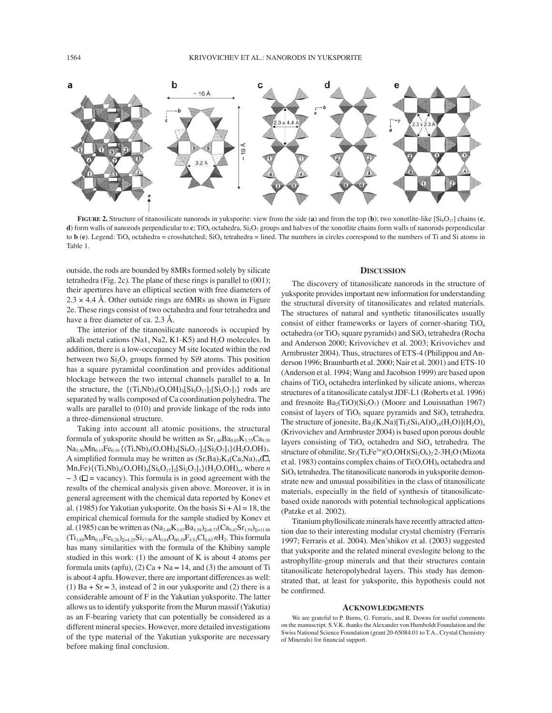

**FIGURE 2.** Structure of titanosilicate nanorods in yuksporite: view from the side (**a**) and from the top (**b**); two xonotlite-like  $[S_i_0O_{17}]$  chains (**c**, **d**) form walls of nanorods perpendicular to **c**; TiO<sub>6</sub> octahedra, Si<sub>2</sub>O<sub>7</sub> groups and halves of the xonotlite chains form walls of nanorods perpendicular to  $\mathbf{b}$  (**e**). Legend: TiO<sub>6</sub> octahedra = crosshatched; SiO<sub>4</sub> tetrahedra = lined. The numbers in circles correspond to the numbers of Ti and Si atoms in Table 1.

outside, the rods are bounded by 8MRs formed solely by silicate tetrahedra (Fig. 2c). The plane of these rings is parallel to (001); their apertures have an elliptical section with free diameters of  $2.3 \times 4.4$  Å. Other outside rings are 6MRs as shown in Figure 2e. These rings consist of two octahedra and four tetrahedra and have a free diameter of ca. 2.3 Å.

The interior of the titanosilicate nanorods is occupied by alkali metal cations (Na1, Na2, K1-K5) and  $H<sub>2</sub>O$  molecules. In addition, there is a low-occupancy M site located within the rod between two  $Si<sub>2</sub>O<sub>7</sub>$  groups formed by Si9 atoms. This position has a square pyramidal coordination and provides additional blockage between the two internal channels parallel to **a**. In the structure, the  $\{(\text{Ti},\text{Nb})_4(\text{O},\text{OH})_4[\text{Si}_6\text{O}_{17}]_2[\text{Si}_2\text{O}_7]_3\}$  rods are separated by walls composed of Ca coordination polyhedra. The walls are parallel to (010) and provide linkage of the rods into a three-dimensional structure.

Taking into account all atomic positions, the structural formula of yuksporite should be written as  $Sr<sub>1.40</sub>Ba<sub>0.65</sub>K<sub>3.75</sub>Ca<sub>8.50</sub>$  $Na<sub>5.50</sub>Mn<sub>0.15</sub>Fe<sub>0.10</sub>$  {(Ti,Nb)<sub>4</sub>(O,OH)<sub>4</sub>[Si<sub>6</sub>O<sub>17</sub>]<sub>2</sub>[Si<sub>2</sub>O<sub>7</sub>]<sub>3</sub>}(H<sub>2</sub>O,OH)<sub>3</sub>. A simplified formula may be written as  $(Sr, Ba)_{2}K_{4}(Ca,Na)_{14}(\Box)$  $Mn$ ,Fe){ $(Ti, Nb)_{4}(O, OH)_{4}[Si_{6}O_{17}]_{2}[Si_{2}O_{7}]_{3}\} (H_{2}O, OH)_{n}$ , where *n*  $~\sim$  3 ( $\square$  = vacancy). This formula is in good agreement with the results of the chemical analysis given above. Moreover, it is in general agreement with the chemical data reported by Konev et al. (1985) for Yakutian yuksporite. On the basis  $Si + Al = 18$ , the empirical chemical formula for the sample studied by Konev et al. (1985) can be written as  $(Na_{3.48}K_{3.67}Ba_{1.58})_{\Sigma=8.73}(Ca_{9.47}Sr_{1.59})_{\Sigma=11.06}$  $(Ti_{3.88}Mn_{0.11}Fe_{0.26})_{\Sigma=4.25}Si_{17.96}Al_{0.04}O_{60.39}F_{4.51}Cl_{0.63}nH_2.$  This formula has many similarities with the formula of the Khibiny sample studied in this work:  $(1)$  the amount of K is about 4 atoms per formula units (apfu), (2) Ca + Na  $\approx$  14, and (3) the amount of Ti is about 4 apfu. However, there are important differences as well: (1) Ba + Sr  $\approx$  3, instead of 2 in our yuksporite and (2) there is a considerable amount of F in the Yakutian yuksporite. The latter allows us to identify yuksporite from the Murun massif (Yakutia) as an F-bearing variety that can potentially be considered as a different mineral species. However, more detailed investigations of the type material of the Yakutian yuksporite are necessary before making final conclusion.

#### **DISCUSSION**

The discovery of titanosilicate nanorods in the structure of yuksporite provides important new information for understanding the structural diversity of titanosilicates and related materials. The structures of natural and synthetic titanosilicates usually consist of either frameworks or layers of corner-sharing  $TiO<sub>6</sub>$ octahedra (or TiO<sub>5</sub> square pyramids) and  $SiO<sub>4</sub>$  tetrahedra (Rocha and Anderson 2000; Krivovichev et al. 2003; Krivovichev and Armbruster 2004). Thus, structures of ETS-4 (Philippou and Anderson 1996; Braunbarth et al. 2000; Nair et al. 2001) and ETS-10 (Anderson et al. 1994; Wang and Jacobson 1999) are based upon chains of  $TiO<sub>6</sub>$  octahedra interlinked by silicate anions, whereas structures of a titanosilicate catalyst JDF-L1 (Roberts et al. 1996) and fresnoite  $Ba_2(TiO)(Si_2O_7)$  (Moore and Louisnathan 1967) consist of layers of TiO<sub>5</sub> square pyramids and  $SiO<sub>4</sub>$  tetrahedra. The structure of jonesite,  $Ba_2(K,Na)[Ti_2(Si_5Al)O_{18}(H_2O)](H_2O)_n$ (Krivovichev and Armbruster 2004) is based upon porous double layers consisting of  $TiO_6$  octahedra and  $SiO_4$  tetrahedra. The structure of ohmilite,  $Sr_3(Ti,Fe^{3+})(O,OH)(Si_2O_6)_2$ 2-3H<sub>2</sub>O (Mizota et al. 1983) contains complex chains of  $Ti(O, OH)_{6}$  octahedra and SiO4 tetrahedra. The titanosilicate nanorods in yuksporite demonstrate new and unusual possibilities in the class of titanosilicate materials, especially in the field of synthesis of titanosilicatebased oxide nanorods with potential technological applications (Patzke et al. 2002).

Titanium phyllosilicate minerals have recently attracted attention due to their interesting modular crystal chemistry (Ferraris 1997; Ferraris et al. 2004). Men'shikov et al. (2003) suggested that yuksporite and the related mineral eveslogite belong to the astrophyllite-group minerals and that their structures contain titanosilicate heteropolyhedral layers. This study has demonstrated that, at least for yuksporite, this hypothesis could not be confirmed.

#### **ACKNOWLEDGMENTS**

We are grateful to P. Burns, G. Ferraris, and R. Downs for useful comments on the manuscript. S.V.K. thanks the Alexander von Humboldt Foundation and the Swiss National Science Foundation (grant 20-65084.01 to T.A., Crystal Chemistry of Minerals) for financial support.